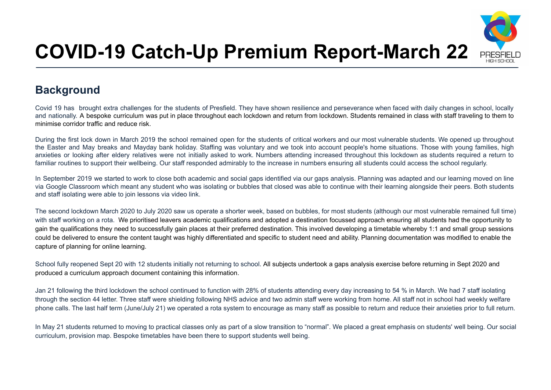

# **COVID-19 Catch-Up Premium Report-March 22**

## **Background**

Covid 19 has brought extra challenges for the students of Presfield. They have shown resilience and perseverance when faced with daily changes in school, locally and nationally. A bespoke curriculum was put in place throughout each lockdown and return from lockdown. Students remained in class with staff traveling to them to minimise corridor traffic and reduce risk.

During the first lock down in March 2019 the school remained open for the students of critical workers and our most vulnerable students. We opened up throughout the Easter and May breaks and Mayday bank holiday. Staffing was voluntary and we took into account people's home situations. Those with young families, high anxieties or looking after eldery relatives were not initially asked to work. Numbers attending increased throughout this lockdown as students required a return to familiar routines to support their wellbeing. Our staff responded admirably to the increase in numbers ensuring all students could access the school regularly.

In September 2019 we started to work to close both academic and social gaps identified via our gaps analysis. Planning was adapted and our learning moved on line via Google Classroom which meant any student who was isolating or bubbles that closed was able to continue with their learning alongside their peers. Both students and staff isolating were able to join lessons via video link.

The second lockdown March 2020 to July 2020 saw us operate a shorter week, based on bubbles, for most students (although our most vulnerable remained full time) with staff working on a rota. We prioritised leavers academic qualifications and adopted a destination focussed approach ensuring all students had the opportunity to gain the qualifications they need to successfully gain places at their preferred destination. This involved developing a timetable whereby 1:1 and small group sessions could be delivered to ensure the content taught was highly differentiated and specific to student need and ability. Planning documentation was modified to enable the capture of planning for online learning.

School fully reopened Sept 20 with 12 students initially not returning to school. All subjects undertook a gaps analysis exercise before returning in Sept 2020 and produced a curriculum approach document containing this information.

Jan 21 following the third lockdown the school continued to function with 28% of students attending every day increasing to 54 % in March. We had 7 staff isolating through the section 44 letter. Three staff were shielding following NHS advice and two admin staff were working from home. All staff not in school had weekly welfare phone calls. The last half term (June/July 21) we operated a rota system to encourage as many staff as possible to return and reduce their anxieties prior to full return.

In May 21 students returned to moving to practical classes only as part of a slow transition to "normal". We placed a great emphasis on students' well being. Our social curriculum, provision map. Bespoke timetables have been there to support students well being.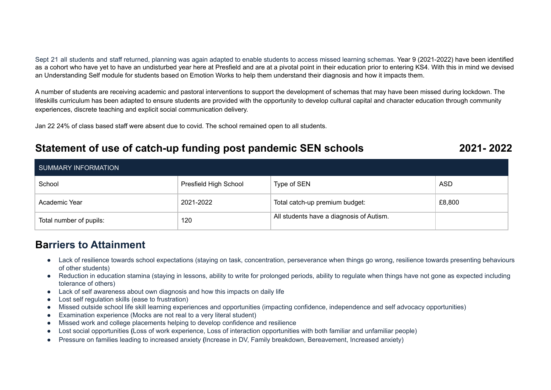Sept 21 all students and staff returned, planning was again adapted to enable students to access missed learning schemas. Year 9 (2021-2022) have been identified as a cohort who have yet to have an undisturbed year here at Presfield and are at a pivotal point in their education prior to entering KS4. With this in mind we devised an Understanding Self module for students based on Emotion Works to help them understand their diagnosis and how it impacts them.

A number of students are receiving academic and pastoral interventions to support the development of schemas that may have been missed during lockdown. The lifeskills curriculum has been adapted to ensure students are provided with the opportunity to develop cultural capital and character education through community experiences, discrete teaching and explicit social communication delivery.

Jan 22 24% of class based staff were absent due to covid. The school remained open to all students.

## **Statement of use of catch-up funding post pandemic SEN schools 2021- 2022**

| SUMMARY INFORMATION     |                       |                                          |        |
|-------------------------|-----------------------|------------------------------------------|--------|
| School                  | Presfield High School | Type of SEN                              | ASD    |
| Academic Year           | 2021-2022             | Total catch-up premium budget:           | £8,800 |
| Total number of pupils: | 120                   | All students have a diagnosis of Autism. |        |

### **Barriers to Attainment**

- Lack of resilience towards school expectations (staying on task, concentration, perseverance when things go wrong, resilience towards presenting behaviours of other students)
- Reduction in education stamina (staying in lessons, ability to write for prolonged periods, ability to regulate when things have not gone as expected including tolerance of others)
- Lack of self awareness about own diagnosis and how this impacts on daily life
- Lost self regulation skills (ease to frustration)
- Missed outside school life skill learning experiences and opportunities (impacting confidence, independence and self advocacy opportunities)
- Examination experience (Mocks are not real to a very literal student)
- Missed work and college placements helping to develop confidence and resilience
- **●** Lost social opportunities **(**Loss of work experience, Loss of interaction opportunities with both familiar and unfamiliar people)
- **●** Pressure on families leading to increased anxiety **(**Increase in DV, Family breakdown, Bereavement, Increased anxiety)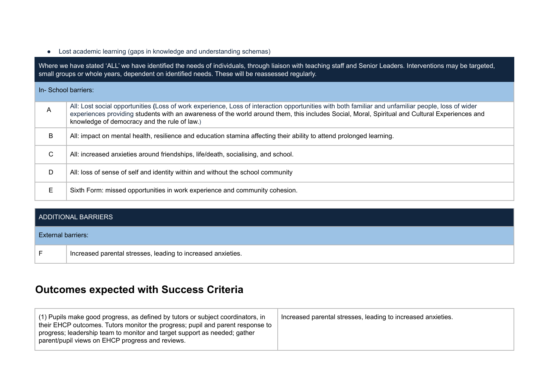● Lost academic learning (gaps in knowledge and understanding schemas)

Where we have stated 'ALL' we have identified the needs of individuals, through liaison with teaching staff and Senior Leaders. Interventions may be targeted, small groups or whole years, dependent on identified needs. These will be reassessed regularly.

#### In- School barriers:

| A | All: Lost social opportunities (Loss of work experience, Loss of interaction opportunities with both familiar and unfamiliar people, loss of wider<br>experiences providing students with an awareness of the world around them, this includes Social, Moral, Spiritual and Cultural Experiences and<br>knowledge of democracy and the rule of law.) |
|---|------------------------------------------------------------------------------------------------------------------------------------------------------------------------------------------------------------------------------------------------------------------------------------------------------------------------------------------------------|
| B | All: impact on mental health, resilience and education stamina affecting their ability to attend prolonged learning.                                                                                                                                                                                                                                 |
| С | All: increased anxieties around friendships, life/death, socialising, and school.                                                                                                                                                                                                                                                                    |
| D | All: loss of sense of self and identity within and without the school community                                                                                                                                                                                                                                                                      |
| E | Sixth Form: missed opportunities in work experience and community cohesion.                                                                                                                                                                                                                                                                          |

#### ADDITIONAL BARRIERS

#### External barriers:

F Increased parental stresses, leading to increased anxieties.

## **Outcomes expected with Success Criteria**

| (1) Pupils make good progress, as defined by tutors or subject coordinators, in<br>their EHCP outcomes. Tutors monitor the progress; pupil and parent response to<br>progress; leadership team to monitor and target support as needed; gather<br>parent/pupil views on EHCP progress and reviews. | Increased parental stresses, leading to increased anxieties. |
|----------------------------------------------------------------------------------------------------------------------------------------------------------------------------------------------------------------------------------------------------------------------------------------------------|--------------------------------------------------------------|
|----------------------------------------------------------------------------------------------------------------------------------------------------------------------------------------------------------------------------------------------------------------------------------------------------|--------------------------------------------------------------|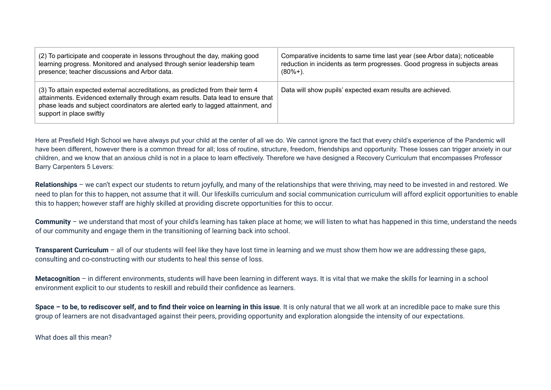| (2) To participate and cooperate in lessons throughout the day, making good                                                                                                                                                                                                        | Comparative incidents to same time last year (see Arbor data); noticeable  |
|------------------------------------------------------------------------------------------------------------------------------------------------------------------------------------------------------------------------------------------------------------------------------------|----------------------------------------------------------------------------|
| learning progress. Monitored and analysed through senior leadership team                                                                                                                                                                                                           | reduction in incidents as term progresses. Good progress in subjects areas |
| presence; teacher discussions and Arbor data.                                                                                                                                                                                                                                      | $(80%+)$ .                                                                 |
| (3) To attain expected external accreditations, as predicted from their term 4<br>attainments. Evidenced externally through exam results. Data lead to ensure that<br>phase leads and subject coordinators are alerted early to lagged attainment, and<br>support in place swiftly | Data will show pupils' expected exam results are achieved.                 |

Here at Presfield High School we have always put your child at the center of all we do. We cannot ignore the fact that every child's experience of the Pandemic will have been different, however there is a common thread for all; loss of routine, structure, freedom, friendships and opportunity. These losses can trigger anxiety in our children, and we know that an anxious child is not in a place to learn effectively. Therefore we have designed a Recovery Curriculum that encompasses Professor Barry Carpenters 5 Levers:

**Relationships** – we can't expect our students to return joyfully, and many of the relationships that were thriving, may need to be invested in and restored. We need to plan for this to happen, not assume that it will. Our lifeskills curriculum and social communication curriculum will afford explicit opportunities to enable this to happen; however staff are highly skilled at providing discrete opportunities for this to occur.

**Community** – we understand that most of your child's learning has taken place at home; we will listen to what has happened in this time, understand the needs of our community and engage them in the transitioning of learning back into school.

**Transparent Curriculum** – all of our students will feel like they have lost time in learning and we must show them how we are addressing these gaps, consulting and co-constructing with our students to heal this sense of loss.

Metacognition – in different environments, students will have been learning in different ways. It is vital that we make the skills for learning in a school environment explicit to our students to reskill and rebuild their confidence as learners.

**Space – to be, to rediscover self, and to find their voice on learning in this issue**. It is only natural that we all work at an incredible pace to make sure this group of learners are not disadvantaged against their peers, providing opportunity and exploration alongside the intensity of our expectations.

What does all this mean?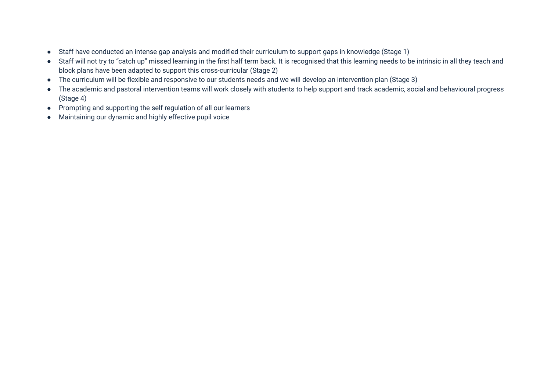- Staff have conducted an intense gap analysis and modified their curriculum to support gaps in knowledge (Stage 1)
- Staff will not try to "catch up" missed learning in the first half term back. It is recognised that this learning needs to be intrinsic in all they teach and block plans have been adapted to support this cross-curricular (Stage 2)
- The curriculum will be flexible and responsive to our students needs and we will develop an intervention plan (Stage 3)
- The academic and pastoral intervention teams will work closely with students to help support and track academic, social and behavioural progress (Stage 4)
- Prompting and supporting the self regulation of all our learners
- Maintaining our dynamic and highly effective pupil voice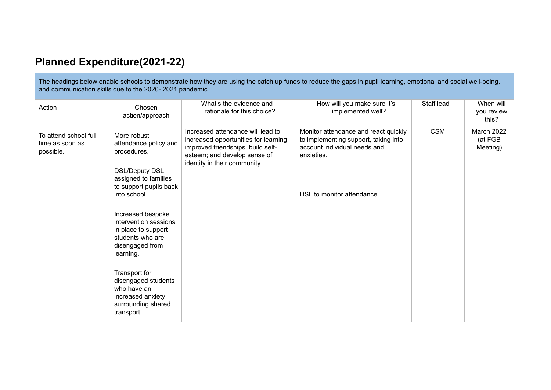# **Planned Expenditure(2021-22)**

The headings below enable schools to demonstrate how they are using the catch up funds to reduce the gaps in pupil learning, emotional and social well-being, and communication skills due to the 2020- 2021 pandemic.

| Action                                                | Chosen<br>action/approach                                                                                                                                                                                                                                                                                                                                                               | What's the evidence and<br>rationale for this choice?                                                                                                                           | How will you make sure it's<br>implemented well?                                                                                                         | Staff lead | When will<br>you review<br>this?  |
|-------------------------------------------------------|-----------------------------------------------------------------------------------------------------------------------------------------------------------------------------------------------------------------------------------------------------------------------------------------------------------------------------------------------------------------------------------------|---------------------------------------------------------------------------------------------------------------------------------------------------------------------------------|----------------------------------------------------------------------------------------------------------------------------------------------------------|------------|-----------------------------------|
| To attend school full<br>time as soon as<br>possible. | More robust<br>attendance policy and<br>procedures.<br><b>DSL/Deputy DSL</b><br>assigned to families<br>to support pupils back<br>into school.<br>Increased bespoke<br>intervention sessions<br>in place to support<br>students who are<br>disengaged from<br>learning.<br>Transport for<br>disengaged students<br>who have an<br>increased anxiety<br>surrounding shared<br>transport. | Increased attendance will lead to<br>increased opportunities for learning;<br>improved friendships; build self-<br>esteem; and develop sense of<br>identity in their community. | Monitor attendance and react quickly<br>to implementing support, taking into<br>account individual needs and<br>anxieties.<br>DSL to monitor attendance. | <b>CSM</b> | March 2022<br>(at FGB<br>Meeting) |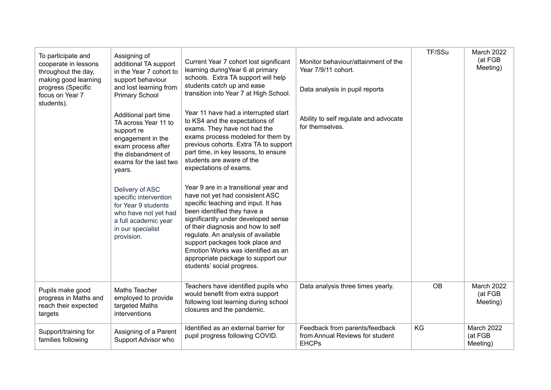| To participate and<br>cooperate in lessons<br>throughout the day,<br>making good learning<br>progress (Specific<br>focus on Year 7<br>students). | Assigning of<br>additional TA support<br>in the Year 7 cohort to<br>support behaviour<br>and lost learning from<br><b>Primary School</b>                        | Current Year 7 cohort lost significant<br>learning during Year 6 at primary<br>schools. Extra TA support will help<br>students catch up and ease<br>transition into Year 7 at High School.                                                                                                                                                                                                                     | Monitor behaviour/attainment of the<br>Year 7/9/11 cohort.<br>Data analysis in pupil reports | TF/SSu    | March 2022<br>(at FGB<br>Meeting) |
|--------------------------------------------------------------------------------------------------------------------------------------------------|-----------------------------------------------------------------------------------------------------------------------------------------------------------------|----------------------------------------------------------------------------------------------------------------------------------------------------------------------------------------------------------------------------------------------------------------------------------------------------------------------------------------------------------------------------------------------------------------|----------------------------------------------------------------------------------------------|-----------|-----------------------------------|
|                                                                                                                                                  | Additional part time<br>TA across Year 11 to<br>support re<br>engagement in the<br>exam process after<br>the disbandment of<br>exams for the last two<br>years. | Year 11 have had a interrupted start<br>to KS4 and the expectations of<br>exams. They have not had the<br>exams process modeled for them by<br>previous cohorts. Extra TA to support<br>part time, in key lessons, to ensure<br>students are aware of the<br>expectations of exams.                                                                                                                            | Ability to self regulate and advocate<br>for themselves.                                     |           |                                   |
|                                                                                                                                                  | Delivery of ASC<br>specific intervention<br>for Year 9 students<br>who have not yet had<br>a full academic year<br>in our specialist<br>provision.              | Year 9 are in a transitional year and<br>have not yet had consistent ASC<br>specific teaching and input. It has<br>been identified they have a<br>significantly under developed sense<br>of their diagnosis and how to self<br>regulate. An analysis of available<br>support packages took place and<br>Emotion Works was identified as an<br>appropriate package to support our<br>students' social progress. |                                                                                              |           |                                   |
| Pupils make good<br>progress in Maths and<br>reach their expected<br>targets                                                                     | Maths Teacher<br>employed to provide<br>targeted Maths<br>interventions                                                                                         | Teachers have identified pupils who<br>would benefit from extra support<br>following lost learning during school<br>closures and the pandemic.                                                                                                                                                                                                                                                                 | Data analysis three times yearly.                                                            | <b>OB</b> | March 2022<br>(at FGB<br>Meeting) |
| Support/training for<br>families following                                                                                                       | Assigning of a Parent<br>Support Advisor who                                                                                                                    | Identified as an external barrier for<br>pupil progress following COVID.                                                                                                                                                                                                                                                                                                                                       | Feedback from parents/feedback<br>from Annual Reviews for student<br><b>EHCPs</b>            | KG        | March 2022<br>(at FGB<br>Meeting) |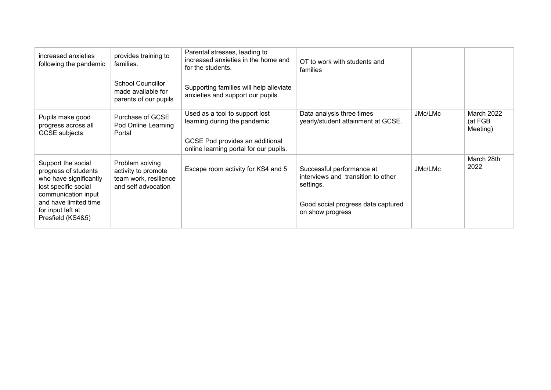| increased anxieties<br>following the pandemic                                                                                                                                          | provides training to<br>families.                                                      | Parental stresses, leading to<br>increased anxieties in the home and<br>for the students.                                                    | OT to work with students and<br>families                                                                                               |         |                                   |
|----------------------------------------------------------------------------------------------------------------------------------------------------------------------------------------|----------------------------------------------------------------------------------------|----------------------------------------------------------------------------------------------------------------------------------------------|----------------------------------------------------------------------------------------------------------------------------------------|---------|-----------------------------------|
|                                                                                                                                                                                        | School Councillor<br>made available for<br>parents of our pupils                       | Supporting families will help alleviate<br>anxieties and support our pupils.                                                                 |                                                                                                                                        |         |                                   |
| Pupils make good<br>progress across all<br><b>GCSE</b> subjects                                                                                                                        | Purchase of GCSE<br>Pod Online Learning<br>Portal                                      | Used as a tool to support lost<br>learning during the pandemic.<br>GCSE Pod provides an additional<br>online learning portal for our pupils. | Data analysis three times<br>yearly/student attainment at GCSE.                                                                        | JMc/LMc | March 2022<br>(at FGB<br>Meeting) |
| Support the social<br>progress of students<br>who have significantly<br>lost specific social<br>communication input<br>and have limited time<br>for input left at<br>Presfield (KS4&5) | Problem solving<br>activity to promote<br>team work, resilience<br>and self advocation | Escape room activity for KS4 and 5                                                                                                           | Successful performance at<br>interviews and transition to other<br>settings.<br>Good social progress data captured<br>on show progress | JMc/LMc | March 28th<br>2022                |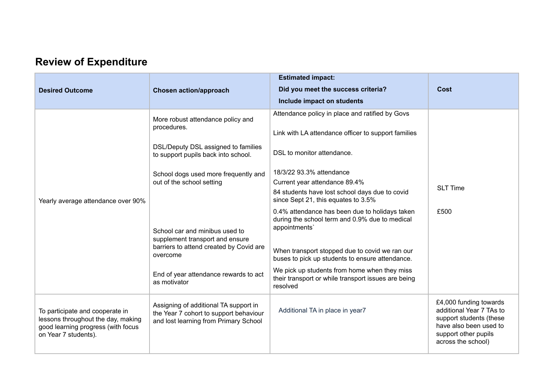# **Review of Expenditure**

| <b>Desired Outcome</b>                                                                                                              | <b>Chosen action/approach</b>                                                                                            | <b>Estimated impact:</b><br>Did you meet the success criteria?<br>Include impact on students                                                                                                                           | Cost                                                                                                                                                  |
|-------------------------------------------------------------------------------------------------------------------------------------|--------------------------------------------------------------------------------------------------------------------------|------------------------------------------------------------------------------------------------------------------------------------------------------------------------------------------------------------------------|-------------------------------------------------------------------------------------------------------------------------------------------------------|
|                                                                                                                                     | More robust attendance policy and<br>procedures.                                                                         | Attendance policy in place and ratified by Govs<br>Link with LA attendance officer to support families                                                                                                                 |                                                                                                                                                       |
|                                                                                                                                     | DSL/Deputy DSL assigned to families<br>to support pupils back into school.                                               | DSL to monitor attendance.                                                                                                                                                                                             |                                                                                                                                                       |
| Yearly average attendance over 90%                                                                                                  | School dogs used more frequently and<br>out of the school setting                                                        | 18/3/22 93.3% attendance<br>Current year attendance 89.4%<br>84 students have lost school days due to covid<br>since Sept 21, this equates to 3.5%                                                                     | <b>SLT Time</b>                                                                                                                                       |
|                                                                                                                                     | School car and minibus used to<br>supplement transport and ensure<br>barriers to attend created by Covid are<br>overcome | 0.4% attendance has been due to holidays taken<br>during the school term and 0.9% due to medical<br>appointments'<br>When transport stopped due to covid we ran our<br>buses to pick up students to ensure attendance. | £500                                                                                                                                                  |
|                                                                                                                                     | End of year attendance rewards to act<br>as motivator                                                                    | We pick up students from home when they miss<br>their transport or while transport issues are being<br>resolved                                                                                                        |                                                                                                                                                       |
| To participate and cooperate in<br>lessons throughout the day, making<br>good learning progress (with focus<br>on Year 7 students). | Assigning of additional TA support in<br>the Year 7 cohort to support behaviour<br>and lost learning from Primary School | Additional TA in place in year7                                                                                                                                                                                        | £4,000 funding towards<br>additional Year 7 TAs to<br>support students (these<br>have also been used to<br>support other pupils<br>across the school) |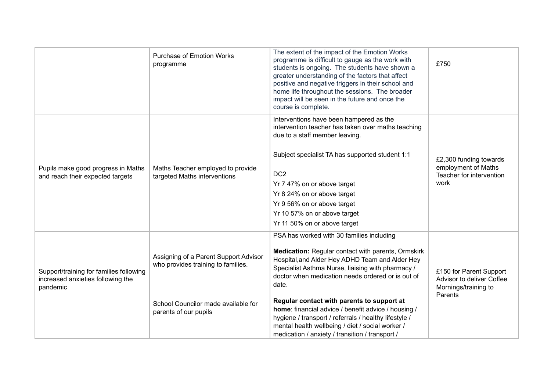|                                                                                          | <b>Purchase of Emotion Works</b><br>programme                                                                                               | The extent of the impact of the Emotion Works<br>programme is difficult to gauge as the work with<br>students is ongoing. The students have shown a<br>greater understanding of the factors that affect<br>positive and negative triggers in their school and<br>home life throughout the sessions. The broader<br>impact will be seen in the future and once the<br>course is complete.                                                                                                                                                   | £750                                                                                    |
|------------------------------------------------------------------------------------------|---------------------------------------------------------------------------------------------------------------------------------------------|--------------------------------------------------------------------------------------------------------------------------------------------------------------------------------------------------------------------------------------------------------------------------------------------------------------------------------------------------------------------------------------------------------------------------------------------------------------------------------------------------------------------------------------------|-----------------------------------------------------------------------------------------|
| Pupils make good progress in Maths<br>and reach their expected targets                   | Maths Teacher employed to provide<br>targeted Maths interventions                                                                           | Interventions have been hampered as the<br>intervention teacher has taken over maths teaching<br>due to a staff member leaving.<br>Subject specialist TA has supported student 1:1<br>DC <sub>2</sub><br>Yr 7 47% on or above target<br>Yr 8 24% on or above target<br>Yr 9 56% on or above target<br>Yr 10 57% on or above target<br>Yr 11 50% on or above target                                                                                                                                                                         | £2,300 funding towards<br>employment of Maths<br>Teacher for intervention<br>work       |
| Support/training for families following<br>increased anxieties following the<br>pandemic | Assigning of a Parent Support Advisor<br>who provides training to families.<br>School Councilor made available for<br>parents of our pupils | PSA has worked with 30 families including<br>Medication: Regular contact with parents, Ormskirk<br>Hospital, and Alder Hey ADHD Team and Alder Hey<br>Specialist Asthma Nurse, liaising with pharmacy /<br>doctor when medication needs ordered or is out of<br>date.<br>Regular contact with parents to support at<br>home: financial advice / benefit advice / housing /<br>hygiene / transport / referrals / healthy lifestyle /<br>mental health wellbeing / diet / social worker /<br>medication / anxiety / transition / transport / | £150 for Parent Support<br>Advisor to deliver Coffee<br>Mornings/training to<br>Parents |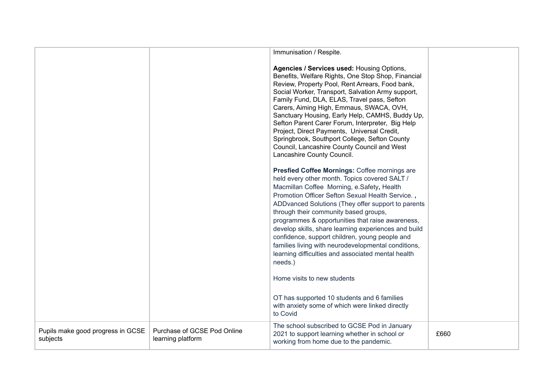|                                               |                                                  | Immunisation / Respite.                                                                                                                                                                                                                                                                                                                                                                                                                                                                                                                                                                                               |      |
|-----------------------------------------------|--------------------------------------------------|-----------------------------------------------------------------------------------------------------------------------------------------------------------------------------------------------------------------------------------------------------------------------------------------------------------------------------------------------------------------------------------------------------------------------------------------------------------------------------------------------------------------------------------------------------------------------------------------------------------------------|------|
|                                               |                                                  | Agencies / Services used: Housing Options,<br>Benefits, Welfare Rights, One Stop Shop, Financial<br>Review, Property Pool, Rent Arrears, Food bank,<br>Social Worker, Transport, Salvation Army support,<br>Family Fund, DLA, ELAS, Travel pass, Sefton<br>Carers, Aiming High, Emmaus, SWACA, OVH,<br>Sanctuary Housing, Early Help, CAMHS, Buddy Up,<br>Sefton Parent Carer Forum, Interpreter, Big Help<br>Project, Direct Payments, Universal Credit,<br>Springbrook, Southport College, Sefton County<br>Council, Lancashire County Council and West<br>Lancashire County Council.                               |      |
|                                               |                                                  | Presfied Coffee Mornings: Coffee mornings are<br>held every other month. Topics covered SALT /<br>Macmillan Coffee Morning, e.Safety, Health<br>Promotion Officer Sefton Sexual Health Service.,<br>ADD vanced Solutions (They offer support to parents<br>through their community based groups,<br>programmes & opportunities that raise awareness,<br>develop skills, share learning experiences and build<br>confidence, support children, young people and<br>families living with neurodevelopmental conditions,<br>learning difficulties and associated mental health<br>needs.)<br>Home visits to new students |      |
|                                               |                                                  | OT has supported 10 students and 6 families<br>with anxiety some of which were linked directly<br>to Covid                                                                                                                                                                                                                                                                                                                                                                                                                                                                                                            |      |
| Pupils make good progress in GCSE<br>subjects | Purchase of GCSE Pod Online<br>learning platform | The school subscribed to GCSE Pod in January<br>2021 to support learning whether in school or<br>working from home due to the pandemic.                                                                                                                                                                                                                                                                                                                                                                                                                                                                               | £660 |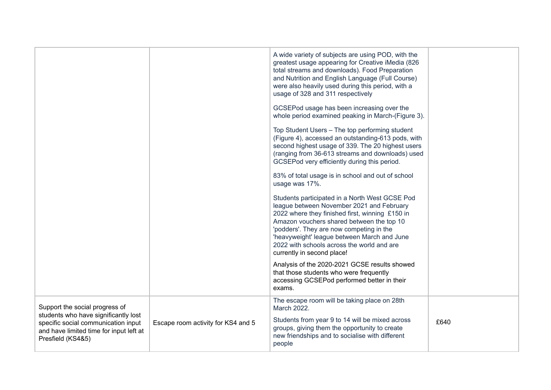|                                                                                                                                             |                                    | A wide variety of subjects are using POD, with the<br>greatest usage appearing for Creative iMedia (826)<br>total streams and downloads). Food Preparation<br>and Nutrition and English Language (Full Course)<br>were also heavily used during this period, with a<br>usage of 328 and 311 respectively                                                           |      |
|---------------------------------------------------------------------------------------------------------------------------------------------|------------------------------------|--------------------------------------------------------------------------------------------------------------------------------------------------------------------------------------------------------------------------------------------------------------------------------------------------------------------------------------------------------------------|------|
|                                                                                                                                             |                                    | GCSEPod usage has been increasing over the<br>whole period examined peaking in March-(Figure 3).                                                                                                                                                                                                                                                                   |      |
|                                                                                                                                             |                                    | Top Student Users - The top performing student<br>(Figure 4), accessed an outstanding-613 pods, with<br>second highest usage of 339. The 20 highest users<br>(ranging from 36-613 streams and downloads) used<br>GCSEPod very efficiently during this period.                                                                                                      |      |
|                                                                                                                                             |                                    | 83% of total usage is in school and out of school<br>usage was 17%.                                                                                                                                                                                                                                                                                                |      |
|                                                                                                                                             |                                    | Students participated in a North West GCSE Pod<br>league between November 2021 and February<br>2022 where they finished first, winning £150 in<br>Amazon vouchers shared between the top 10<br>'podders'. They are now competing in the<br>'heavyweight' league between March and June<br>2022 with schools across the world and are<br>currently in second place! |      |
|                                                                                                                                             |                                    | Analysis of the 2020-2021 GCSE results showed<br>that those students who were frequently<br>accessing GCSEPod performed better in their<br>exams.                                                                                                                                                                                                                  |      |
| Support the social progress of                                                                                                              |                                    | The escape room will be taking place on 28th<br>March 2022.                                                                                                                                                                                                                                                                                                        |      |
| students who have significantly lost<br>specific social communication input<br>and have limited time for input left at<br>Presfield (KS4&5) | Escape room activity for KS4 and 5 | Students from year 9 to 14 will be mixed across<br>groups, giving them the opportunity to create<br>new friendships and to socialise with different<br>people                                                                                                                                                                                                      | £640 |
|                                                                                                                                             |                                    |                                                                                                                                                                                                                                                                                                                                                                    |      |